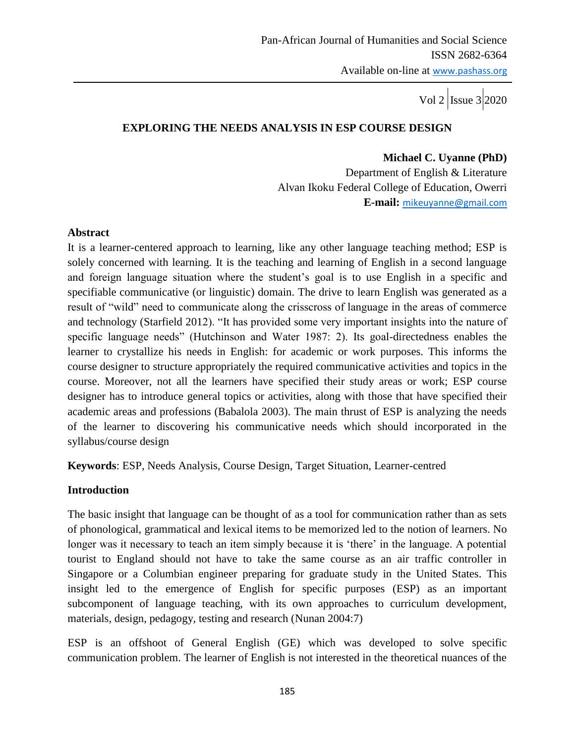# **EXPLORING THE NEEDS ANALYSIS IN ESP COURSE DESIGN**

**Michael C. Uyanne (PhD)** Department of English & Literature Alvan Ikoku Federal College of Education, Owerri **E-mail:** [mikeuyanne@gmail.com](mailto:mikeuyanne@gmail.com)

## **Abstract**

It is a learner-centered approach to learning, like any other language teaching method; ESP is solely concerned with learning. It is the teaching and learning of English in a second language and foreign language situation where the student"s goal is to use English in a specific and specifiable communicative (or linguistic) domain. The drive to learn English was generated as a result of "wild" need to communicate along the crisscross of language in the areas of commerce and technology (Starfield 2012). "It has provided some very important insights into the nature of specific language needs" (Hutchinson and Water 1987: 2). Its goal-directedness enables the learner to crystallize his needs in English: for academic or work purposes. This informs the course designer to structure appropriately the required communicative activities and topics in the course. Moreover, not all the learners have specified their study areas or work; ESP course designer has to introduce general topics or activities, along with those that have specified their academic areas and professions (Babalola 2003). The main thrust of ESP is analyzing the needs of the learner to discovering his communicative needs which should incorporated in the syllabus/course design

**Keywords**: ESP, Needs Analysis, Course Design, Target Situation, Learner-centred

## **Introduction**

The basic insight that language can be thought of as a tool for communication rather than as sets of phonological, grammatical and lexical items to be memorized led to the notion of learners. No longer was it necessary to teach an item simply because it is 'there' in the language. A potential tourist to England should not have to take the same course as an air traffic controller in Singapore or a Columbian engineer preparing for graduate study in the United States. This insight led to the emergence of English for specific purposes (ESP) as an important subcomponent of language teaching, with its own approaches to curriculum development, materials, design, pedagogy, testing and research (Nunan 2004:7)

ESP is an offshoot of General English (GE) which was developed to solve specific communication problem. The learner of English is not interested in the theoretical nuances of the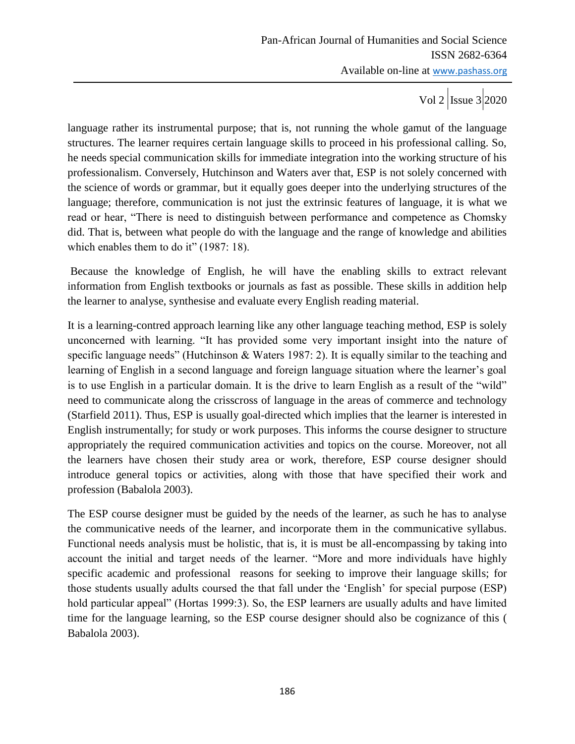language rather its instrumental purpose; that is, not running the whole gamut of the language structures. The learner requires certain language skills to proceed in his professional calling. So, he needs special communication skills for immediate integration into the working structure of his professionalism. Conversely, Hutchinson and Waters aver that, ESP is not solely concerned with the science of words or grammar, but it equally goes deeper into the underlying structures of the language; therefore, communication is not just the extrinsic features of language, it is what we read or hear, "There is need to distinguish between performance and competence as Chomsky did. That is, between what people do with the language and the range of knowledge and abilities which enables them to do it" (1987: 18).

Because the knowledge of English, he will have the enabling skills to extract relevant information from English textbooks or journals as fast as possible. These skills in addition help the learner to analyse, synthesise and evaluate every English reading material.

It is a learning-contred approach learning like any other language teaching method, ESP is solely unconcerned with learning. "It has provided some very important insight into the nature of specific language needs" (Hutchinson & Waters 1987: 2). It is equally similar to the teaching and learning of English in a second language and foreign language situation where the learner's goal is to use English in a particular domain. It is the drive to learn English as a result of the "wild" need to communicate along the crisscross of language in the areas of commerce and technology (Starfield 2011). Thus, ESP is usually goal-directed which implies that the learner is interested in English instrumentally; for study or work purposes. This informs the course designer to structure appropriately the required communication activities and topics on the course. Moreover, not all the learners have chosen their study area or work, therefore, ESP course designer should introduce general topics or activities, along with those that have specified their work and profession (Babalola 2003).

The ESP course designer must be guided by the needs of the learner, as such he has to analyse the communicative needs of the learner, and incorporate them in the communicative syllabus. Functional needs analysis must be holistic, that is, it is must be all-encompassing by taking into account the initial and target needs of the learner. "More and more individuals have highly specific academic and professional reasons for seeking to improve their language skills; for those students usually adults coursed the that fall under the "English" for special purpose (ESP) hold particular appeal" (Hortas 1999:3). So, the ESP learners are usually adults and have limited time for the language learning, so the ESP course designer should also be cognizance of this ( Babalola 2003).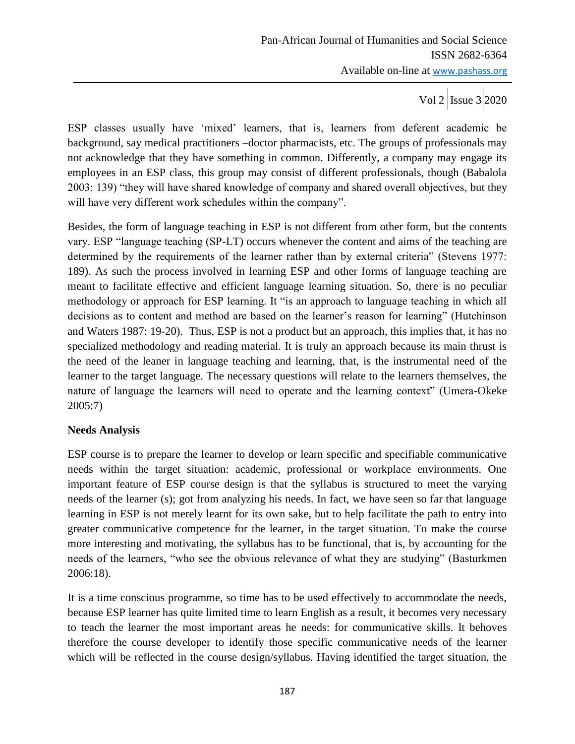ESP classes usually have "mixed" learners, that is, learners from deferent academic be background, say medical practitioners –doctor pharmacists, etc. The groups of professionals may not acknowledge that they have something in common. Differently, a company may engage its employees in an ESP class, this group may consist of different professionals, though (Babalola 2003: 139) "they will have shared knowledge of company and shared overall objectives, but they will have very different work schedules within the company".

Besides, the form of language teaching in ESP is not different from other form, but the contents vary. ESP "language teaching (SP-LT) occurs whenever the content and aims of the teaching are determined by the requirements of the learner rather than by external criteria" (Stevens 1977: 189). As such the process involved in learning ESP and other forms of language teaching are meant to facilitate effective and efficient language learning situation. So, there is no peculiar methodology or approach for ESP learning. It "is an approach to language teaching in which all decisions as to content and method are based on the learner"s reason for learning" (Hutchinson and Waters 1987: 19-20). Thus, ESP is not a product but an approach, this implies that, it has no specialized methodology and reading material. It is truly an approach because its main thrust is the need of the leaner in language teaching and learning, that, is the instrumental need of the learner to the target language. The necessary questions will relate to the learners themselves, the nature of language the learners will need to operate and the learning context" (Umera-Okeke 2005:7)

## **Needs Analysis**

ESP course is to prepare the learner to develop or learn specific and specifiable communicative needs within the target situation: academic, professional or workplace environments. One important feature of ESP course design is that the syllabus is structured to meet the varying needs of the learner (s); got from analyzing his needs. In fact, we have seen so far that language learning in ESP is not merely learnt for its own sake, but to help facilitate the path to entry into greater communicative competence for the learner, in the target situation. To make the course more interesting and motivating, the syllabus has to be functional, that is, by accounting for the needs of the learners, "who see the obvious relevance of what they are studying" (Basturkmen 2006:18).

It is a time conscious programme, so time has to be used effectively to accommodate the needs, because ESP learner has quite limited time to learn English as a result, it becomes very necessary to teach the learner the most important areas he needs: for communicative skills. It behoves therefore the course developer to identify those specific communicative needs of the learner which will be reflected in the course design/syllabus. Having identified the target situation, the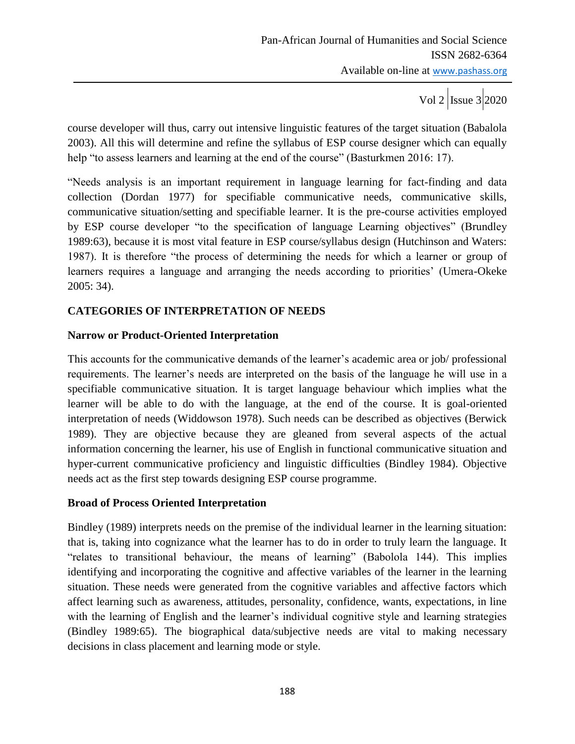course developer will thus, carry out intensive linguistic features of the target situation (Babalola 2003). All this will determine and refine the syllabus of ESP course designer which can equally help "to assess learners and learning at the end of the course" (Basturkmen 2016: 17).

"Needs analysis is an important requirement in language learning for fact-finding and data collection (Dordan 1977) for specifiable communicative needs, communicative skills, communicative situation/setting and specifiable learner. It is the pre-course activities employed by ESP course developer "to the specification of language Learning objectives" (Brundley 1989:63), because it is most vital feature in ESP course/syllabus design (Hutchinson and Waters: 1987). It is therefore "the process of determining the needs for which a learner or group of learners requires a language and arranging the needs according to priorities' (Umera-Okeke 2005: 34).

# **CATEGORIES OF INTERPRETATION OF NEEDS**

## **Narrow or Product-Oriented Interpretation**

This accounts for the communicative demands of the learner's academic area or job/ professional requirements. The learner"s needs are interpreted on the basis of the language he will use in a specifiable communicative situation. It is target language behaviour which implies what the learner will be able to do with the language, at the end of the course. It is goal-oriented interpretation of needs (Widdowson 1978). Such needs can be described as objectives (Berwick 1989). They are objective because they are gleaned from several aspects of the actual information concerning the learner, his use of English in functional communicative situation and hyper-current communicative proficiency and linguistic difficulties (Bindley 1984). Objective needs act as the first step towards designing ESP course programme.

## **Broad of Process Oriented Interpretation**

Bindley (1989) interprets needs on the premise of the individual learner in the learning situation: that is, taking into cognizance what the learner has to do in order to truly learn the language. It "relates to transitional behaviour, the means of learning" (Babolola 144). This implies identifying and incorporating the cognitive and affective variables of the learner in the learning situation. These needs were generated from the cognitive variables and affective factors which affect learning such as awareness, attitudes, personality, confidence, wants, expectations, in line with the learning of English and the learner's individual cognitive style and learning strategies (Bindley 1989:65). The biographical data/subjective needs are vital to making necessary decisions in class placement and learning mode or style.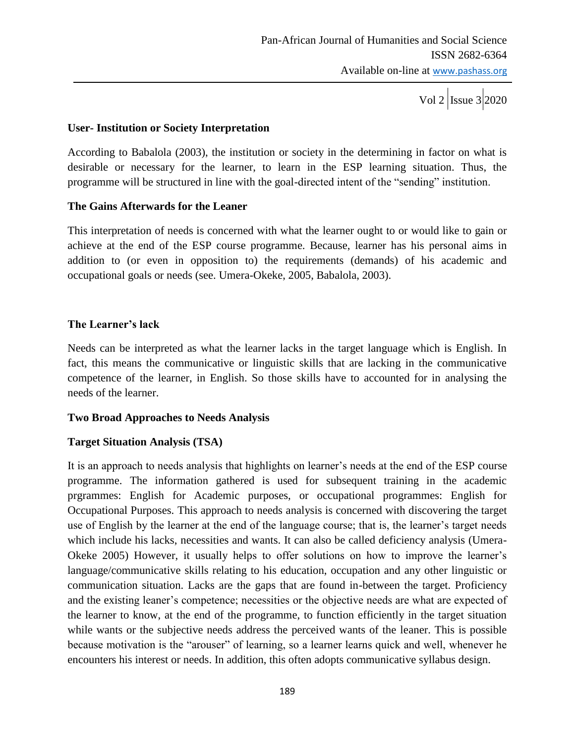Vol 2  $\vert$ Issue 3 2020

## **User- Institution or Society Interpretation**

According to Babalola (2003), the institution or society in the determining in factor on what is desirable or necessary for the learner, to learn in the ESP learning situation. Thus, the programme will be structured in line with the goal-directed intent of the "sending" institution.

## **The Gains Afterwards for the Leaner**

This interpretation of needs is concerned with what the learner ought to or would like to gain or achieve at the end of the ESP course programme. Because, learner has his personal aims in addition to (or even in opposition to) the requirements (demands) of his academic and occupational goals or needs (see. Umera-Okeke, 2005, Babalola, 2003).

## **The Learner's lack**

Needs can be interpreted as what the learner lacks in the target language which is English. In fact, this means the communicative or linguistic skills that are lacking in the communicative competence of the learner, in English. So those skills have to accounted for in analysing the needs of the learner.

## **Two Broad Approaches to Needs Analysis**

## **Target Situation Analysis (TSA)**

It is an approach to needs analysis that highlights on learner"s needs at the end of the ESP course programme. The information gathered is used for subsequent training in the academic prgrammes: English for Academic purposes, or occupational programmes: English for Occupational Purposes. This approach to needs analysis is concerned with discovering the target use of English by the learner at the end of the language course; that is, the learner's target needs which include his lacks, necessities and wants. It can also be called deficiency analysis (Umera-Okeke 2005) However, it usually helps to offer solutions on how to improve the learner"s language/communicative skills relating to his education, occupation and any other linguistic or communication situation. Lacks are the gaps that are found in-between the target. Proficiency and the existing leaner's competence; necessities or the objective needs are what are expected of the learner to know, at the end of the programme, to function efficiently in the target situation while wants or the subjective needs address the perceived wants of the leaner. This is possible because motivation is the "arouser" of learning, so a learner learns quick and well, whenever he encounters his interest or needs. In addition, this often adopts communicative syllabus design.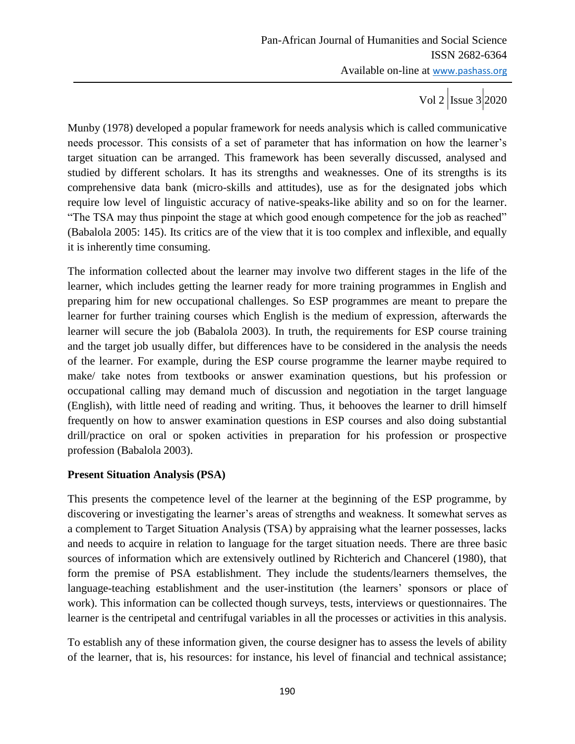Munby (1978) developed a popular framework for needs analysis which is called communicative needs processor. This consists of a set of parameter that has information on how the learner"s target situation can be arranged. This framework has been severally discussed, analysed and studied by different scholars. It has its strengths and weaknesses. One of its strengths is its comprehensive data bank (micro-skills and attitudes), use as for the designated jobs which require low level of linguistic accuracy of native-speaks-like ability and so on for the learner. "The TSA may thus pinpoint the stage at which good enough competence for the job as reached" (Babalola 2005: 145). Its critics are of the view that it is too complex and inflexible, and equally it is inherently time consuming.

The information collected about the learner may involve two different stages in the life of the learner, which includes getting the learner ready for more training programmes in English and preparing him for new occupational challenges. So ESP programmes are meant to prepare the learner for further training courses which English is the medium of expression, afterwards the learner will secure the job (Babalola 2003). In truth, the requirements for ESP course training and the target job usually differ, but differences have to be considered in the analysis the needs of the learner. For example, during the ESP course programme the learner maybe required to make/ take notes from textbooks or answer examination questions, but his profession or occupational calling may demand much of discussion and negotiation in the target language (English), with little need of reading and writing. Thus, it behooves the learner to drill himself frequently on how to answer examination questions in ESP courses and also doing substantial drill/practice on oral or spoken activities in preparation for his profession or prospective profession (Babalola 2003).

## **Present Situation Analysis (PSA)**

This presents the competence level of the learner at the beginning of the ESP programme, by discovering or investigating the learner's areas of strengths and weakness. It somewhat serves as a complement to Target Situation Analysis (TSA) by appraising what the learner possesses, lacks and needs to acquire in relation to language for the target situation needs. There are three basic sources of information which are extensively outlined by Richterich and Chancerel (1980), that form the premise of PSA establishment. They include the students/learners themselves, the language-teaching establishment and the user-institution (the learners' sponsors or place of work). This information can be collected though surveys, tests, interviews or questionnaires. The learner is the centripetal and centrifugal variables in all the processes or activities in this analysis.

To establish any of these information given, the course designer has to assess the levels of ability of the learner, that is, his resources: for instance, his level of financial and technical assistance;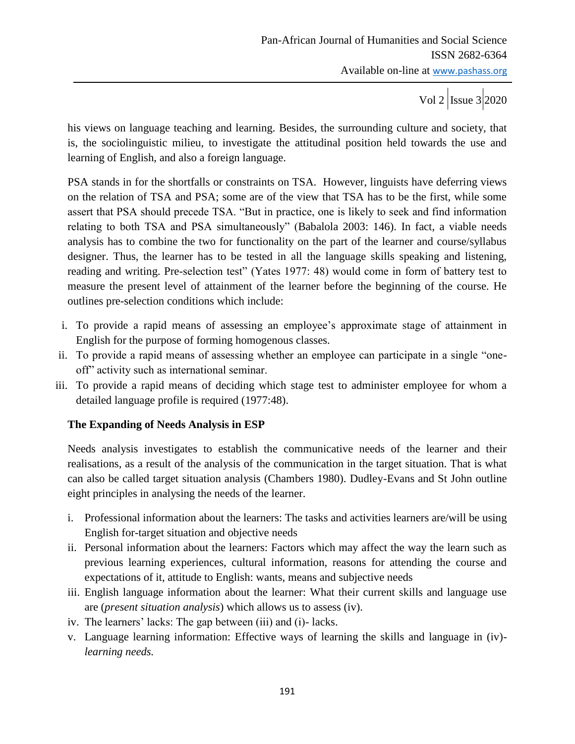Vol 2  $\vert$ Issue 3 2020

his views on language teaching and learning. Besides, the surrounding culture and society, that is, the sociolinguistic milieu, to investigate the attitudinal position held towards the use and learning of English, and also a foreign language.

PSA stands in for the shortfalls or constraints on TSA. However, linguists have deferring views on the relation of TSA and PSA; some are of the view that TSA has to be the first, while some assert that PSA should precede TSA. "But in practice, one is likely to seek and find information relating to both TSA and PSA simultaneously" (Babalola 2003: 146). In fact, a viable needs analysis has to combine the two for functionality on the part of the learner and course/syllabus designer. Thus, the learner has to be tested in all the language skills speaking and listening, reading and writing. Pre-selection test" (Yates 1977: 48) would come in form of battery test to measure the present level of attainment of the learner before the beginning of the course. He outlines pre-selection conditions which include:

- i. To provide a rapid means of assessing an employee's approximate stage of attainment in English for the purpose of forming homogenous classes.
- ii. To provide a rapid means of assessing whether an employee can participate in a single "oneoff" activity such as international seminar.
- iii. To provide a rapid means of deciding which stage test to administer employee for whom a detailed language profile is required (1977:48).

## **The Expanding of Needs Analysis in ESP**

Needs analysis investigates to establish the communicative needs of the learner and their realisations, as a result of the analysis of the communication in the target situation. That is what can also be called target situation analysis (Chambers 1980). Dudley-Evans and St John outline eight principles in analysing the needs of the learner.

- i. Professional information about the learners: The tasks and activities learners are/will be using English for-target situation and objective needs
- ii. Personal information about the learners: Factors which may affect the way the learn such as previous learning experiences, cultural information, reasons for attending the course and expectations of it, attitude to English: wants, means and subjective needs
- iii. English language information about the learner: What their current skills and language use are (*present situation analysis*) which allows us to assess (iv).
- iv. The learners' lacks: The gap between (iii) and (i)-lacks.
- v. Language learning information: Effective ways of learning the skills and language in (iv) *learning needs.*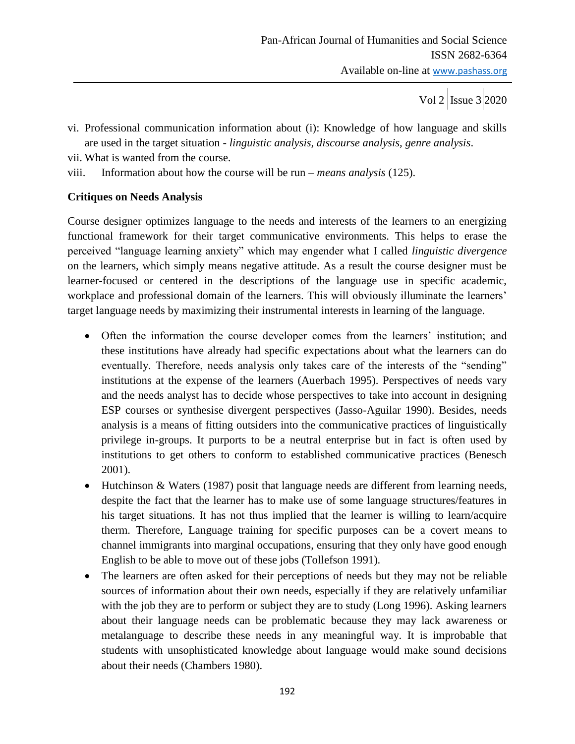vi. Professional communication information about (i): Knowledge of how language and skills are used in the target situation *- linguistic analysis, discourse analysis, genre analysis*.

vii. What is wanted from the course.

viii. Information about how the course will be run – *means analysis* (125).

## **Critiques on Needs Analysis**

Course designer optimizes language to the needs and interests of the learners to an energizing functional framework for their target communicative environments. This helps to erase the perceived "language learning anxiety" which may engender what I called *linguistic divergence*  on the learners, which simply means negative attitude. As a result the course designer must be learner-focused or centered in the descriptions of the language use in specific academic, workplace and professional domain of the learners. This will obviously illuminate the learners' target language needs by maximizing their instrumental interests in learning of the language.

- Often the information the course developer comes from the learners' institution; and these institutions have already had specific expectations about what the learners can do eventually. Therefore, needs analysis only takes care of the interests of the "sending" institutions at the expense of the learners (Auerbach 1995). Perspectives of needs vary and the needs analyst has to decide whose perspectives to take into account in designing ESP courses or synthesise divergent perspectives (Jasso-Aguilar 1990). Besides, needs analysis is a means of fitting outsiders into the communicative practices of linguistically privilege in-groups. It purports to be a neutral enterprise but in fact is often used by institutions to get others to conform to established communicative practices (Benesch 2001).
- Hutchinson & Waters (1987) posit that language needs are different from learning needs, despite the fact that the learner has to make use of some language structures/features in his target situations. It has not thus implied that the learner is willing to learn/acquire therm. Therefore, Language training for specific purposes can be a covert means to channel immigrants into marginal occupations, ensuring that they only have good enough English to be able to move out of these jobs (Tollefson 1991).
- The learners are often asked for their perceptions of needs but they may not be reliable sources of information about their own needs, especially if they are relatively unfamiliar with the job they are to perform or subject they are to study (Long 1996). Asking learners about their language needs can be problematic because they may lack awareness or metalanguage to describe these needs in any meaningful way. It is improbable that students with unsophisticated knowledge about language would make sound decisions about their needs (Chambers 1980).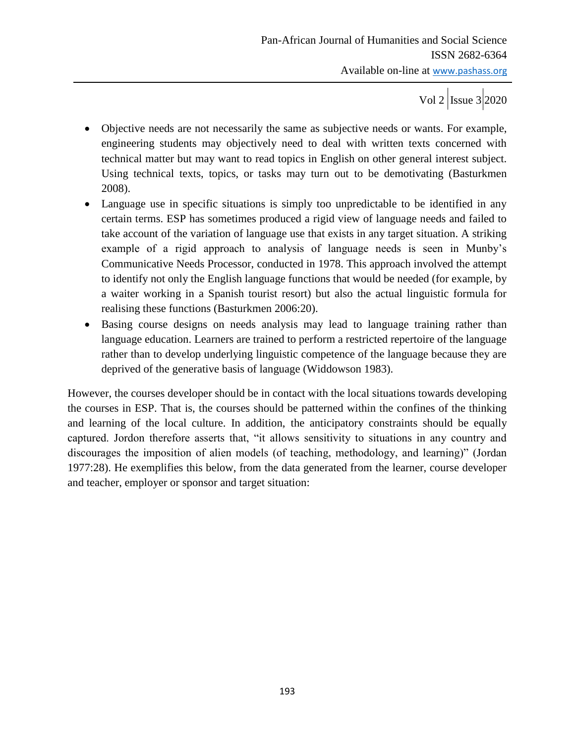Vol 2  $\vert$  Issue 3 2020

- Objective needs are not necessarily the same as subjective needs or wants. For example, engineering students may objectively need to deal with written texts concerned with technical matter but may want to read topics in English on other general interest subject. Using technical texts, topics, or tasks may turn out to be demotivating (Basturkmen 2008).
- Language use in specific situations is simply too unpredictable to be identified in any certain terms. ESP has sometimes produced a rigid view of language needs and failed to take account of the variation of language use that exists in any target situation. A striking example of a rigid approach to analysis of language needs is seen in Munby's Communicative Needs Processor, conducted in 1978. This approach involved the attempt to identify not only the English language functions that would be needed (for example, by a waiter working in a Spanish tourist resort) but also the actual linguistic formula for realising these functions (Basturkmen 2006:20).
- Basing course designs on needs analysis may lead to language training rather than language education. Learners are trained to perform a restricted repertoire of the language rather than to develop underlying linguistic competence of the language because they are deprived of the generative basis of language (Widdowson 1983).

However, the courses developer should be in contact with the local situations towards developing the courses in ESP. That is, the courses should be patterned within the confines of the thinking and learning of the local culture. In addition, the anticipatory constraints should be equally captured. Jordon therefore asserts that, "it allows sensitivity to situations in any country and discourages the imposition of alien models (of teaching, methodology, and learning)" (Jordan 1977:28). He exemplifies this below, from the data generated from the learner, course developer and teacher, employer or sponsor and target situation: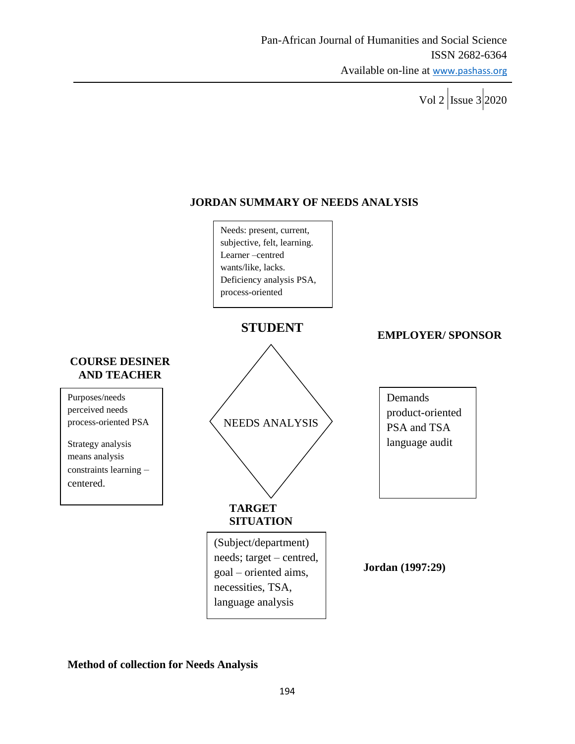Vol 2  $\vert$  Issue 3 2020

# **JORDAN SUMMARY OF NEEDS ANALYSIS**



**Method of collection for Needs Analysis**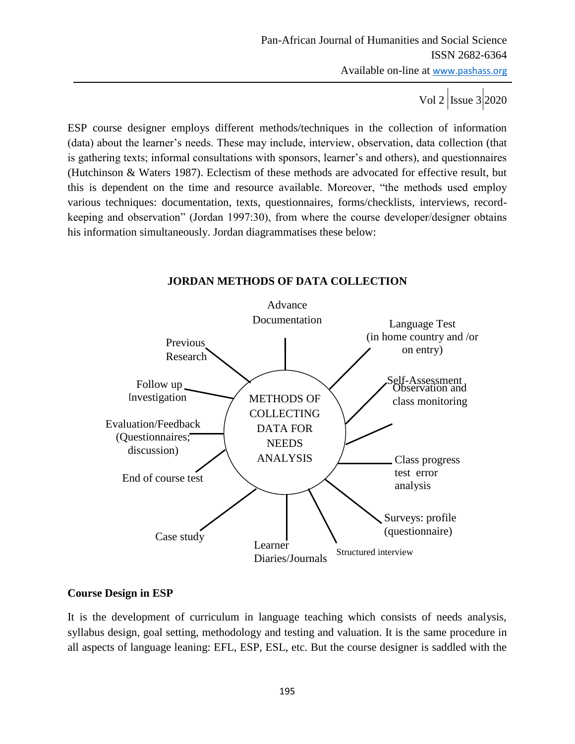ESP course designer employs different methods/techniques in the collection of information (data) about the learner"s needs. These may include, interview, observation, data collection (that is gathering texts; informal consultations with sponsors, learner"s and others), and questionnaires (Hutchinson & Waters 1987). Eclectism of these methods are advocated for effective result, but this is dependent on the time and resource available. Moreover, "the methods used employ various techniques: documentation, texts, questionnaires, forms/checklists, interviews, recordkeeping and observation" (Jordan 1997:30), from where the course developer/designer obtains his information simultaneously. Jordan diagrammatises these below:

#### Advance Documentation Observation and METHODS OF  $\bigvee$  class monitoring **COLLECTING** DATA FOR **NEEDS** ANALYSIS Previous Research Follow up Investigation Evaluation/Feedback (Questionnaires; discussion) End of course test Case study Learner Diaries/Journals Structured interview Class progress test error analysis Self-Assessment Language Test (in home country and /or on entry) Surveys: profile (questionnaire)

## **JORDAN METHODS OF DATA COLLECTION**

## **Course Design in ESP**

It is the development of curriculum in language teaching which consists of needs analysis, syllabus design, goal setting, methodology and testing and valuation. It is the same procedure in all aspects of language leaning: EFL, ESP, ESL, etc. But the course designer is saddled with the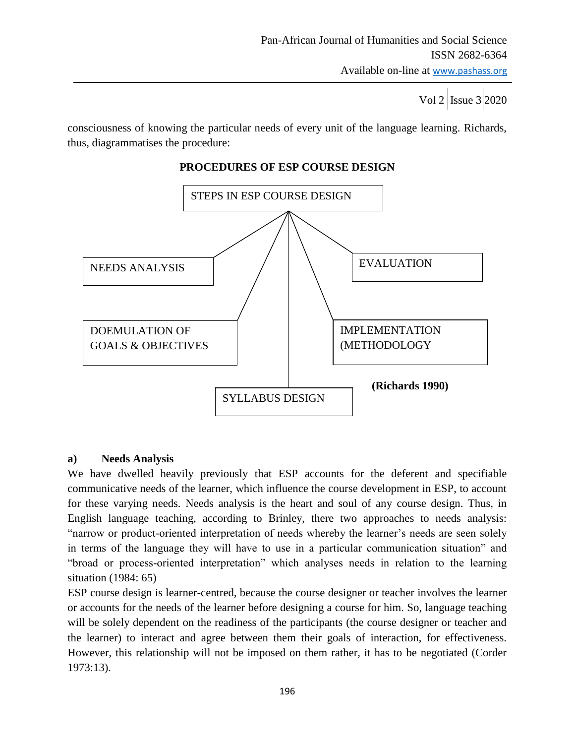Vol 2 Issue 3 2020

consciousness of knowing the particular needs of every unit of the language learning. Richards, thus, diagrammatises the procedure:



# **PROCEDURES OF ESP COURSE DESIGN**

## **a) Needs Analysis**

We have dwelled heavily previously that ESP accounts for the deferent and specifiable communicative needs of the learner, which influence the course development in ESP, to account for these varying needs. Needs analysis is the heart and soul of any course design. Thus, in English language teaching, according to Brinley, there two approaches to needs analysis: "narrow or product-oriented interpretation of needs whereby the learner"s needs are seen solely in terms of the language they will have to use in a particular communication situation" and "broad or process-oriented interpretation" which analyses needs in relation to the learning situation (1984: 65)

ESP course design is learner-centred, because the course designer or teacher involves the learner or accounts for the needs of the learner before designing a course for him. So, language teaching will be solely dependent on the readiness of the participants (the course designer or teacher and the learner) to interact and agree between them their goals of interaction, for effectiveness. However, this relationship will not be imposed on them rather, it has to be negotiated (Corder 1973:13).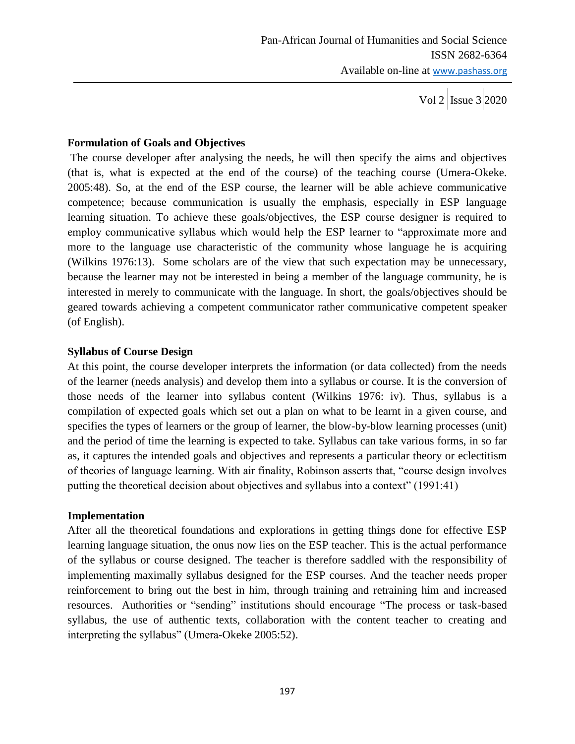## **Formulation of Goals and Objectives**

The course developer after analysing the needs, he will then specify the aims and objectives (that is, what is expected at the end of the course) of the teaching course (Umera-Okeke. 2005:48). So, at the end of the ESP course, the learner will be able achieve communicative competence; because communication is usually the emphasis, especially in ESP language learning situation. To achieve these goals/objectives, the ESP course designer is required to employ communicative syllabus which would help the ESP learner to "approximate more and more to the language use characteristic of the community whose language he is acquiring (Wilkins 1976:13). Some scholars are of the view that such expectation may be unnecessary, because the learner may not be interested in being a member of the language community, he is interested in merely to communicate with the language. In short, the goals/objectives should be geared towards achieving a competent communicator rather communicative competent speaker (of English).

## **Syllabus of Course Design**

At this point, the course developer interprets the information (or data collected) from the needs of the learner (needs analysis) and develop them into a syllabus or course. It is the conversion of those needs of the learner into syllabus content (Wilkins 1976: iv). Thus, syllabus is a compilation of expected goals which set out a plan on what to be learnt in a given course, and specifies the types of learners or the group of learner, the blow-by-blow learning processes (unit) and the period of time the learning is expected to take. Syllabus can take various forms, in so far as, it captures the intended goals and objectives and represents a particular theory or eclectitism of theories of language learning. With air finality, Robinson asserts that, "course design involves putting the theoretical decision about objectives and syllabus into a context" (1991:41)

## **Implementation**

After all the theoretical foundations and explorations in getting things done for effective ESP learning language situation, the onus now lies on the ESP teacher. This is the actual performance of the syllabus or course designed. The teacher is therefore saddled with the responsibility of implementing maximally syllabus designed for the ESP courses. And the teacher needs proper reinforcement to bring out the best in him, through training and retraining him and increased resources. Authorities or "sending" institutions should encourage "The process or task-based syllabus, the use of authentic texts, collaboration with the content teacher to creating and interpreting the syllabus" (Umera-Okeke 2005:52).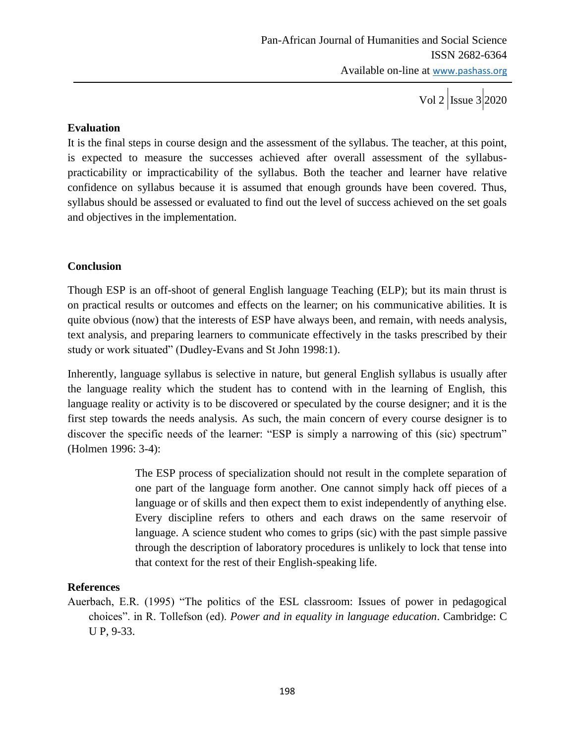Vol 2  $\vert$ Issue 3 2020

## **Evaluation**

It is the final steps in course design and the assessment of the syllabus. The teacher, at this point, is expected to measure the successes achieved after overall assessment of the syllabuspracticability or impracticability of the syllabus. Both the teacher and learner have relative confidence on syllabus because it is assumed that enough grounds have been covered. Thus, syllabus should be assessed or evaluated to find out the level of success achieved on the set goals and objectives in the implementation.

## **Conclusion**

Though ESP is an off-shoot of general English language Teaching (ELP); but its main thrust is on practical results or outcomes and effects on the learner; on his communicative abilities. It is quite obvious (now) that the interests of ESP have always been, and remain, with needs analysis, text analysis, and preparing learners to communicate effectively in the tasks prescribed by their study or work situated" (Dudley-Evans and St John 1998:1).

Inherently, language syllabus is selective in nature, but general English syllabus is usually after the language reality which the student has to contend with in the learning of English, this language reality or activity is to be discovered or speculated by the course designer; and it is the first step towards the needs analysis. As such, the main concern of every course designer is to discover the specific needs of the learner: "ESP is simply a narrowing of this (sic) spectrum" (Holmen 1996: 3-4):

> The ESP process of specialization should not result in the complete separation of one part of the language form another. One cannot simply hack off pieces of a language or of skills and then expect them to exist independently of anything else. Every discipline refers to others and each draws on the same reservoir of language. A science student who comes to grips (sic) with the past simple passive through the description of laboratory procedures is unlikely to lock that tense into that context for the rest of their English-speaking life.

## **References**

Auerbach, E.R. (1995) "The politics of the ESL classroom: Issues of power in pedagogical choices". in R. Tollefson (ed). *Power and in equality in language education*. Cambridge: C U P, 9-33.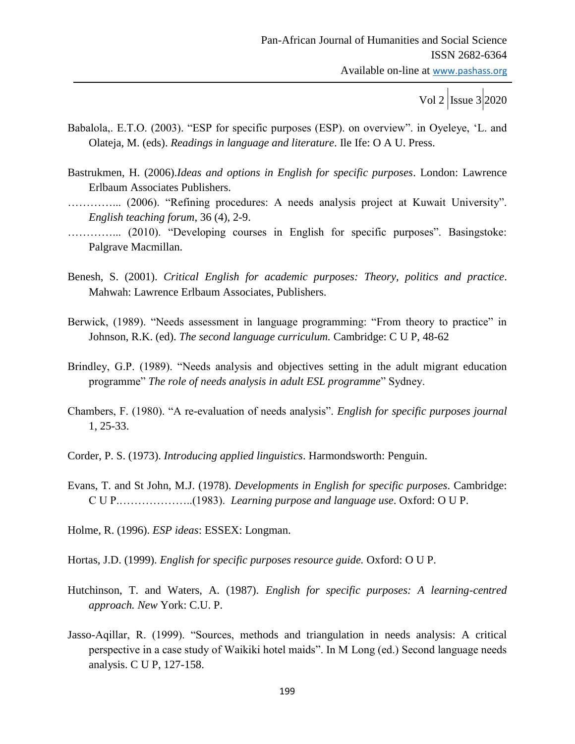- Babalola,. E.T.O. (2003). "ESP for specific purposes (ESP). on overview". in Oyeleye, "L. and Olateja, M. (eds). *Readings in language and literature*. Ile Ife: O A U. Press.
- Bastrukmen, H. (2006).*Ideas and options in English for specific purposes*. London: Lawrence Erlbaum Associates Publishers.
- …………... (2006). "Refining procedures: A needs analysis project at Kuwait University". *English teaching forum*, 36 (4), 2-9.
- …………... (2010). "Developing courses in English for specific purposes". Basingstoke: Palgrave Macmillan.
- Benesh, S. (2001). *Critical English for academic purposes: Theory, politics and practice*. Mahwah: Lawrence Erlbaum Associates, Publishers.
- Berwick, (1989). "Needs assessment in language programming: "From theory to practice" in Johnson, R.K. (ed). *The second language curriculum.* Cambridge: C U P, 48-62
- Brindley, G.P. (1989). "Needs analysis and objectives setting in the adult migrant education programme" *The role of needs analysis in adult ESL programme*" Sydney.
- Chambers, F. (1980). "A re-evaluation of needs analysis". *English for specific purposes journal*  1, 25-33.
- Corder, P. S. (1973). *Introducing applied linguistics*. Harmondsworth: Penguin.
- Evans, T. and St John, M.J. (1978). *Developments in English for specific purposes*. Cambridge: C U P.………………..(1983). *Learning purpose and language use*. Oxford: O U P.
- Holme, R. (1996). *ESP ideas*: ESSEX: Longman.
- Hortas, J.D. (1999). *English for specific purposes resource guide.* Oxford: O U P.
- Hutchinson, T. and Waters, A. (1987). *English for specific purposes: A learning-centred approach. New* York: C.U. P.
- Jasso-Aqillar, R. (1999). "Sources, methods and triangulation in needs analysis: A critical perspective in a case study of Waikiki hotel maids". In M Long (ed.) Second language needs analysis. C U P, 127-158.